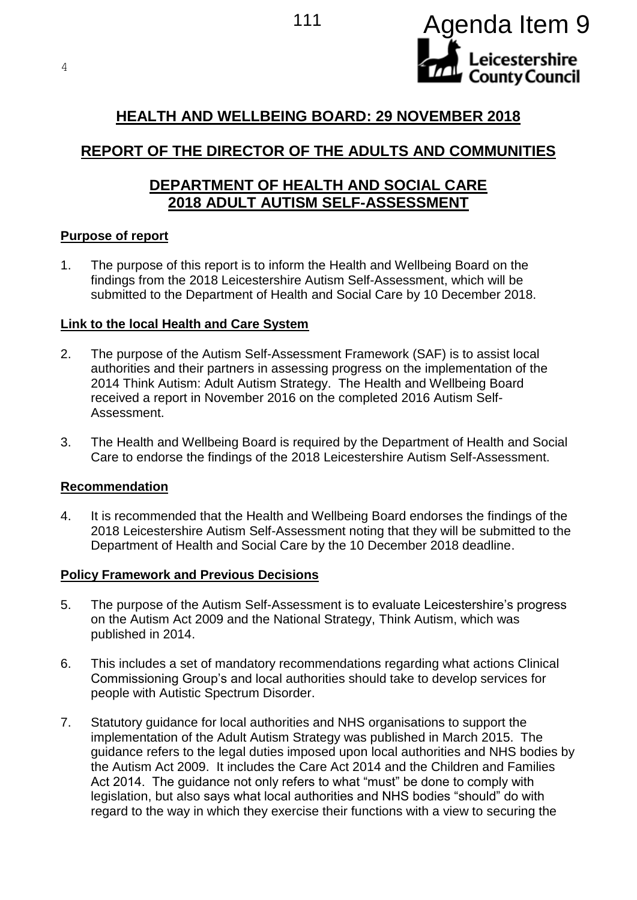



# **HEALTH AND WELLBEING BOARD: 29 NOVEMBER 2018**

# **REPORT OF THE DIRECTOR OF THE ADULTS AND COMMUNITIES**

## **DEPARTMENT OF HEALTH AND SOCIAL CARE 2018 ADULT AUTISM SELF-ASSESSMENT**

### **Purpose of report**

1. The purpose of this report is to inform the Health and Wellbeing Board on the findings from the 2018 Leicestershire Autism Self-Assessment, which will be submitted to the Department of Health and Social Care by 10 December 2018.

### **Link to the local Health and Care System**

- 2. The purpose of the Autism Self-Assessment Framework (SAF) is to assist local authorities and their partners in assessing progress on the implementation of the 2014 Think Autism: Adult Autism Strategy. The Health and Wellbeing Board received a report in November 2016 on the completed 2016 Autism Self-Assessment.
- 3. The Health and Wellbeing Board is required by the Department of Health and Social Care to endorse the findings of the 2018 Leicestershire Autism Self-Assessment.

#### **Recommendation**

4. It is recommended that the Health and Wellbeing Board endorses the findings of the 2018 Leicestershire Autism Self-Assessment noting that they will be submitted to the Department of Health and Social Care by the 10 December 2018 deadline.

## **Policy Framework and Previous Decisions**

- 5. The purpose of the Autism Self-Assessment is to evaluate Leicestershire's progress on the Autism Act 2009 and the National Strategy, Think Autism, which was published in 2014.
- 6. This includes a set of mandatory recommendations regarding what actions Clinical Commissioning Group's and local authorities should take to develop services for people with Autistic Spectrum Disorder.
- 7. Statutory guidance for local authorities and NHS organisations to support the implementation of the Adult Autism Strategy was published in March 2015. The guidance refers to the legal duties imposed upon local authorities and NHS bodies by the Autism Act 2009. It includes the Care Act 2014 and the Children and Families Act 2014. The guidance not only refers to what "must" be done to comply with legislation, but also says what local authorities and NHS bodies "should" do with regard to the way in which they exercise their functions with a view to securing the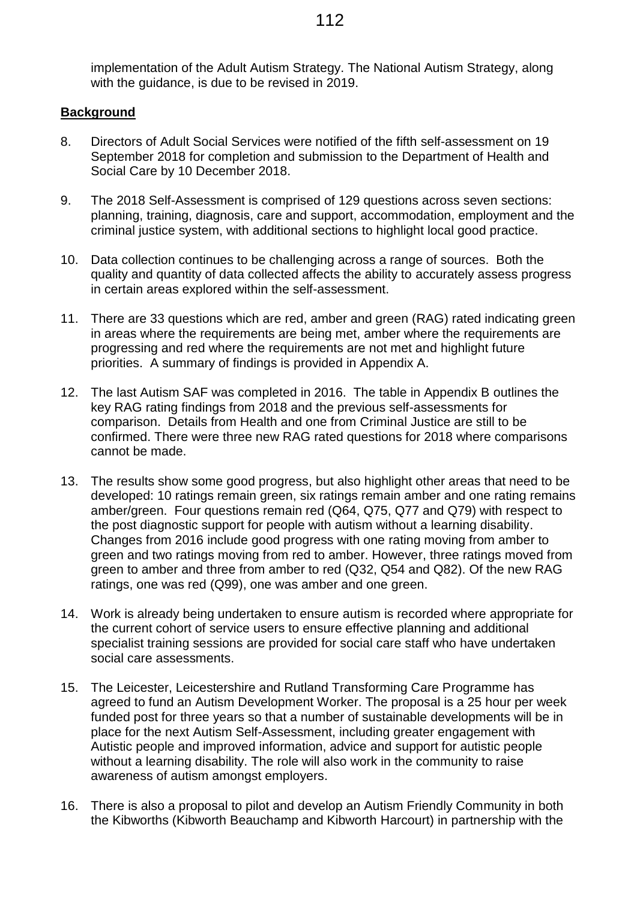implementation of the Adult Autism Strategy. The National Autism Strategy, along with the guidance, is due to be revised in 2019.

#### **Background**

- 8. Directors of Adult Social Services were notified of the fifth self-assessment on 19 September 2018 for completion and submission to the Department of Health and Social Care by 10 December 2018.
- 9. The 2018 Self-Assessment is comprised of 129 questions across seven sections: planning, training, diagnosis, care and support, accommodation, employment and the criminal justice system, with additional sections to highlight local good practice.
- 10. Data collection continues to be challenging across a range of sources. Both the quality and quantity of data collected affects the ability to accurately assess progress in certain areas explored within the self-assessment.
- 11. There are 33 questions which are red, amber and green (RAG) rated indicating green in areas where the requirements are being met, amber where the requirements are progressing and red where the requirements are not met and highlight future priorities. A summary of findings is provided in Appendix A.
- 12. The last Autism SAF was completed in 2016. The table in Appendix B outlines the key RAG rating findings from 2018 and the previous self-assessments for comparison. Details from Health and one from Criminal Justice are still to be confirmed. There were three new RAG rated questions for 2018 where comparisons cannot be made.
- 13. The results show some good progress, but also highlight other areas that need to be developed: 10 ratings remain green, six ratings remain amber and one rating remains amber/green. Four questions remain red (Q64, Q75, Q77 and Q79) with respect to the post diagnostic support for people with autism without a learning disability. Changes from 2016 include good progress with one rating moving from amber to green and two ratings moving from red to amber. However, three ratings moved from green to amber and three from amber to red (Q32, Q54 and Q82). Of the new RAG ratings, one was red (Q99), one was amber and one green.
- 14. Work is already being undertaken to ensure autism is recorded where appropriate for the current cohort of service users to ensure effective planning and additional specialist training sessions are provided for social care staff who have undertaken social care assessments.
- 15. The Leicester, Leicestershire and Rutland Transforming Care Programme has agreed to fund an Autism Development Worker. The proposal is a 25 hour per week funded post for three years so that a number of sustainable developments will be in place for the next Autism Self-Assessment, including greater engagement with Autistic people and improved information, advice and support for autistic people without a learning disability. The role will also work in the community to raise awareness of autism amongst employers.
- 16. There is also a proposal to pilot and develop an Autism Friendly Community in both the Kibworths (Kibworth Beauchamp and Kibworth Harcourt) in partnership with the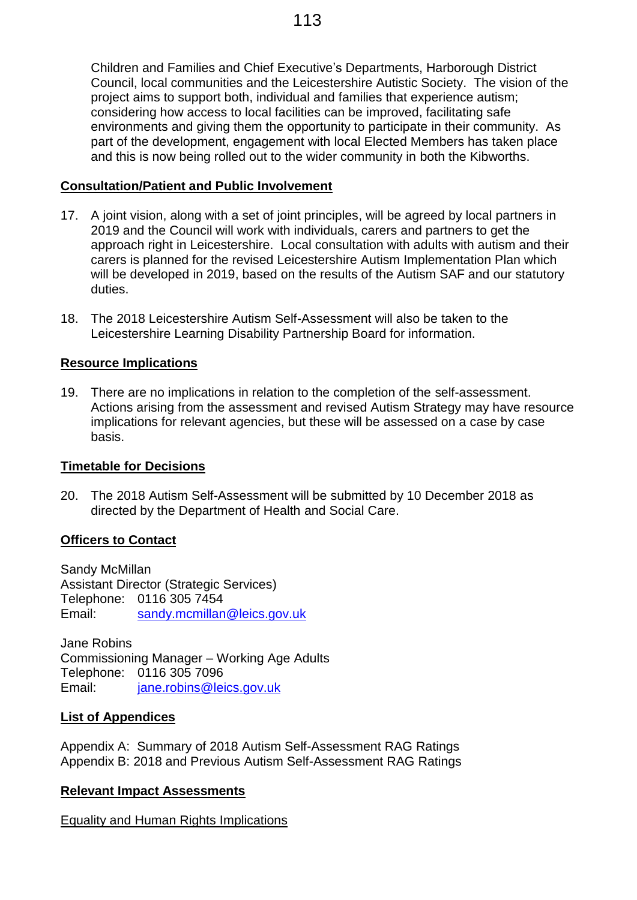Children and Families and Chief Executive's Departments, Harborough District Council, local communities and the Leicestershire Autistic Society. The vision of the project aims to support both, individual and families that experience autism; considering how access to local facilities can be improved, facilitating safe environments and giving them the opportunity to participate in their community. As part of the development, engagement with local Elected Members has taken place and this is now being rolled out to the wider community in both the Kibworths.

## **Consultation/Patient and Public Involvement**

- 17. A joint vision, along with a set of joint principles, will be agreed by local partners in 2019 and the Council will work with individuals, carers and partners to get the approach right in Leicestershire. Local consultation with adults with autism and their carers is planned for the revised Leicestershire Autism Implementation Plan which will be developed in 2019, based on the results of the Autism SAF and our statutory duties.
- 18. The 2018 Leicestershire Autism Self-Assessment will also be taken to the Leicestershire Learning Disability Partnership Board for information.

## **Resource Implications**

19. There are no implications in relation to the completion of the self-assessment. Actions arising from the assessment and revised Autism Strategy may have resource implications for relevant agencies, but these will be assessed on a case by case basis.

## **Timetable for Decisions**

20. The 2018 Autism Self-Assessment will be submitted by 10 December 2018 as directed by the Department of Health and Social Care.

## **Officers to Contact**

Sandy McMillan Assistant Director (Strategic Services) Telephone: 0116 305 7454 Email: [sandy.mcmillan@leics.gov.uk](mailto:sandy.mcmillan@leics.gov.uk)

Jane Robins Commissioning Manager – Working Age Adults Telephone: 0116 305 7096 Email: [jane.robins@leics.gov.uk](mailto:jane.robins@leics.gov.uk)

## **List of Appendices**

Appendix A: Summary of 2018 Autism Self-Assessment RAG Ratings Appendix B: 2018 and Previous Autism Self-Assessment RAG Ratings

## **Relevant Impact Assessments**

Equality and Human Rights Implications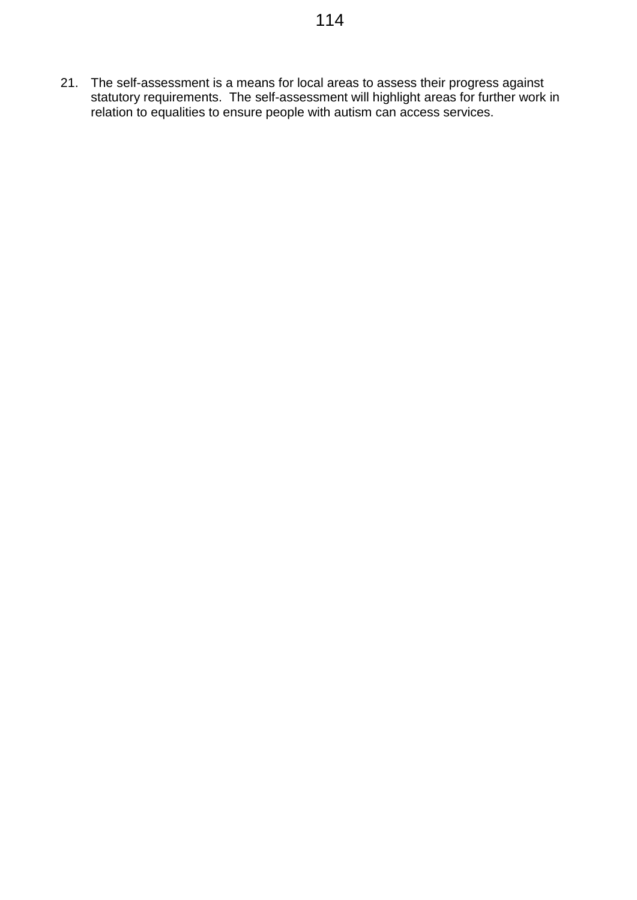21. The self-assessment is a means for local areas to assess their progress against statutory requirements. The self-assessment will highlight areas for further work in relation to equalities to ensure people with autism can access services.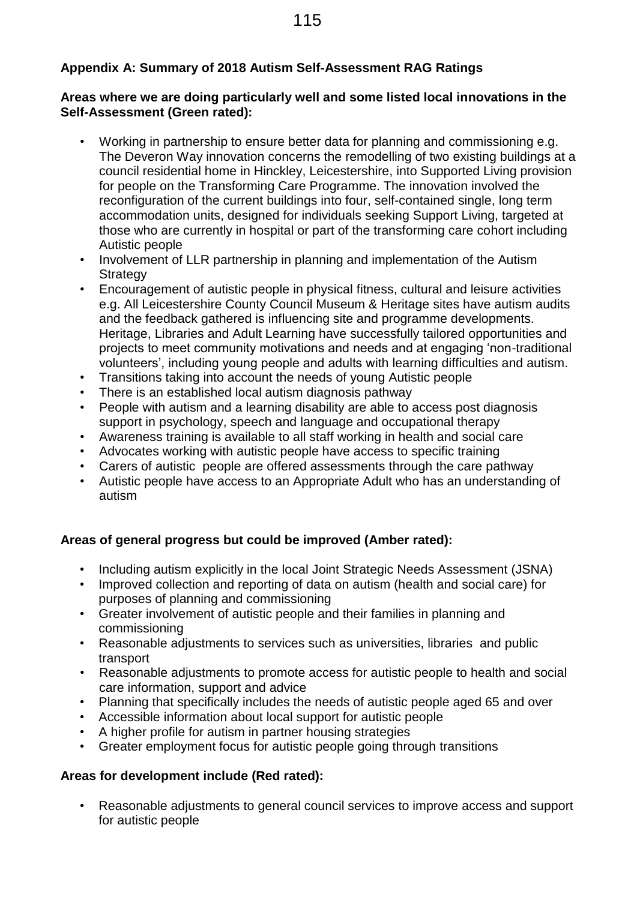## **Appendix A: Summary of 2018 Autism Self-Assessment RAG Ratings**

## **Areas where we are doing particularly well and some listed local innovations in the Self-Assessment (Green rated):**

- Working in partnership to ensure better data for planning and commissioning e.g. The Deveron Way innovation concerns the remodelling of two existing buildings at a council residential home in Hinckley, Leicestershire, into Supported Living provision for people on the Transforming Care Programme. The innovation involved the reconfiguration of the current buildings into four, self-contained single, long term accommodation units, designed for individuals seeking Support Living, targeted at those who are currently in hospital or part of the transforming care cohort including Autistic people
- Involvement of LLR partnership in planning and implementation of the Autism **Strategy**
- Encouragement of autistic people in physical fitness, cultural and leisure activities e.g. All Leicestershire County Council Museum & Heritage sites have autism audits and the feedback gathered is influencing site and programme developments. Heritage, Libraries and Adult Learning have successfully tailored opportunities and projects to meet community motivations and needs and at engaging 'non-traditional volunteers', including young people and adults with learning difficulties and autism.
- Transitions taking into account the needs of young Autistic people
- There is an established local autism diagnosis pathway
- People with autism and a learning disability are able to access post diagnosis support in psychology, speech and language and occupational therapy
- Awareness training is available to all staff working in health and social care
- Advocates working with autistic people have access to specific training
- Carers of autistic people are offered assessments through the care pathway
- Autistic people have access to an Appropriate Adult who has an understanding of autism

# **Areas of general progress but could be improved (Amber rated):**

- Including autism explicitly in the local Joint Strategic Needs Assessment (JSNA)
- Improved collection and reporting of data on autism (health and social care) for purposes of planning and commissioning
- Greater involvement of autistic people and their families in planning and commissioning
- Reasonable adjustments to services such as universities, libraries and public transport
- Reasonable adjustments to promote access for autistic people to health and social care information, support and advice
- Planning that specifically includes the needs of autistic people aged 65 and over
- Accessible information about local support for autistic people
- A higher profile for autism in partner housing strategies
- Greater employment focus for autistic people going through transitions

# **Areas for development include (Red rated):**

• Reasonable adjustments to general council services to improve access and support for autistic people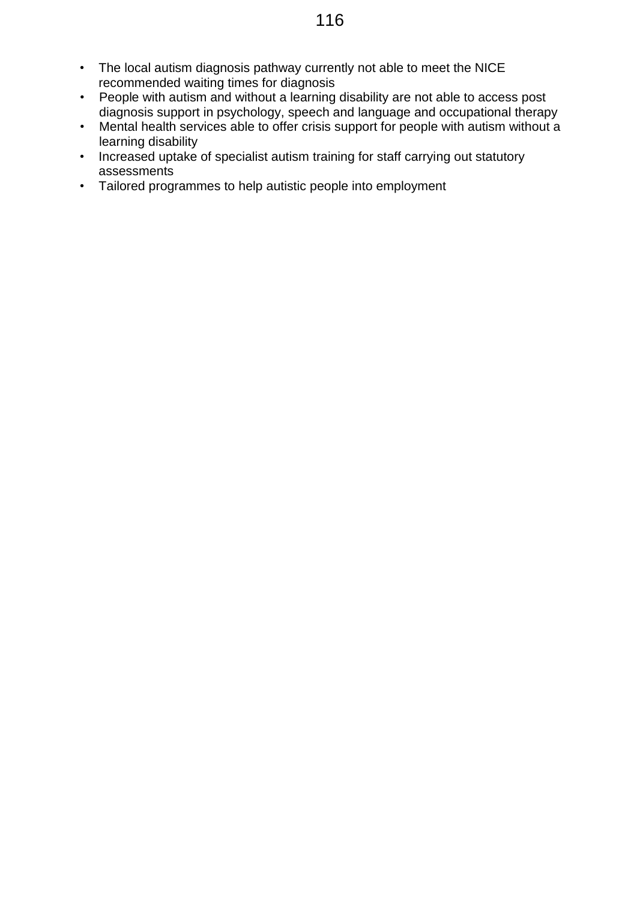- The local autism diagnosis pathway currently not able to meet the NICE recommended waiting times for diagnosis
- People with autism and without a learning disability are not able to access post diagnosis support in psychology, speech and language and occupational therapy
- Mental health services able to offer crisis support for people with autism without a learning disability
- Increased uptake of specialist autism training for staff carrying out statutory assessments
- Tailored programmes to help autistic people into employment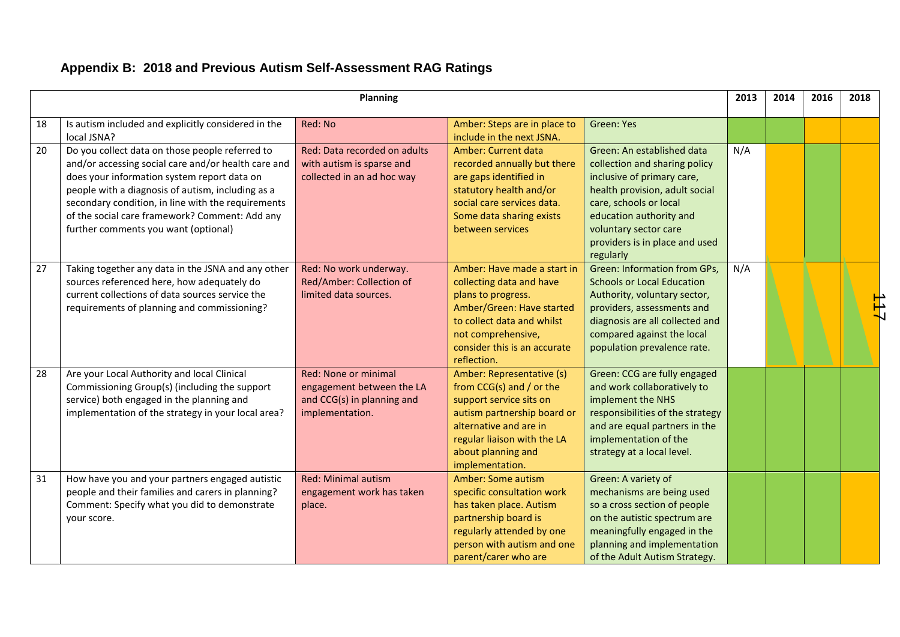|    |                                                                                                                                                                                                                                                                                                                                                            | <b>Planning</b>                                                                                    |                                                                                                                                                                                                                   |                                                                                                                                                                                                                                                          | 2013 | 2014 | 2016 | 2018 |
|----|------------------------------------------------------------------------------------------------------------------------------------------------------------------------------------------------------------------------------------------------------------------------------------------------------------------------------------------------------------|----------------------------------------------------------------------------------------------------|-------------------------------------------------------------------------------------------------------------------------------------------------------------------------------------------------------------------|----------------------------------------------------------------------------------------------------------------------------------------------------------------------------------------------------------------------------------------------------------|------|------|------|------|
| 18 | Is autism included and explicitly considered in the<br>local JSNA?                                                                                                                                                                                                                                                                                         | Red: No                                                                                            | Amber: Steps are in place to<br>include in the next JSNA.                                                                                                                                                         | <b>Green: Yes</b>                                                                                                                                                                                                                                        |      |      |      |      |
| 20 | Do you collect data on those people referred to<br>and/or accessing social care and/or health care and<br>does your information system report data on<br>people with a diagnosis of autism, including as a<br>secondary condition, in line with the requirements<br>of the social care framework? Comment: Add any<br>further comments you want (optional) | Red: Data recorded on adults<br>with autism is sparse and<br>collected in an ad hoc way            | Amber: Current data<br>recorded annually but there<br>are gaps identified in<br>statutory health and/or<br>social care services data.<br>Some data sharing exists<br>between services                             | Green: An established data<br>collection and sharing policy<br>inclusive of primary care,<br>health provision, adult social<br>care, schools or local<br>education authority and<br>voluntary sector care<br>providers is in place and used<br>regularly | N/A  |      |      |      |
| 27 | Taking together any data in the JSNA and any other<br>sources referenced here, how adequately do<br>current collections of data sources service the<br>requirements of planning and commissioning?                                                                                                                                                         | Red: No work underway.<br>Red/Amber: Collection of<br>limited data sources.                        | Amber: Have made a start in<br>collecting data and have<br>plans to progress.<br>Amber/Green: Have started<br>to collect data and whilst<br>not comprehensive,<br>consider this is an accurate<br>reflection.     | <b>Green: Information from GPs,</b><br><b>Schools or Local Education</b><br>Authority, voluntary sector,<br>providers, assessments and<br>diagnosis are all collected and<br>compared against the local<br>population prevalence rate.                   | N/A  |      |      |      |
| 28 | Are your Local Authority and local Clinical<br>Commissioning Group(s) (including the support<br>service) both engaged in the planning and<br>implementation of the strategy in your local area?                                                                                                                                                            | Red: None or minimal<br>engagement between the LA<br>and CCG(s) in planning and<br>implementation. | Amber: Representative (s)<br>from CCG(s) and / or the<br>support service sits on<br>autism partnership board or<br>alternative and are in<br>regular liaison with the LA<br>about planning and<br>implementation. | Green: CCG are fully engaged<br>and work collaboratively to<br>implement the NHS<br>responsibilities of the strategy<br>and are equal partners in the<br>implementation of the<br>strategy at a local level.                                             |      |      |      |      |
| 31 | How have you and your partners engaged autistic<br>people and their families and carers in planning?<br>Comment: Specify what you did to demonstrate<br>your score.                                                                                                                                                                                        | <b>Red: Minimal autism</b><br>engagement work has taken<br>place.                                  | Amber: Some autism<br>specific consultation work<br>has taken place. Autism<br>partnership board is<br>regularly attended by one<br>person with autism and one<br>parent/carer who are                            | Green: A variety of<br>mechanisms are being used<br>so a cross section of people<br>on the autistic spectrum are<br>meaningfully engaged in the<br>planning and implementation<br>of the Adult Autism Strategy.                                          |      |      |      |      |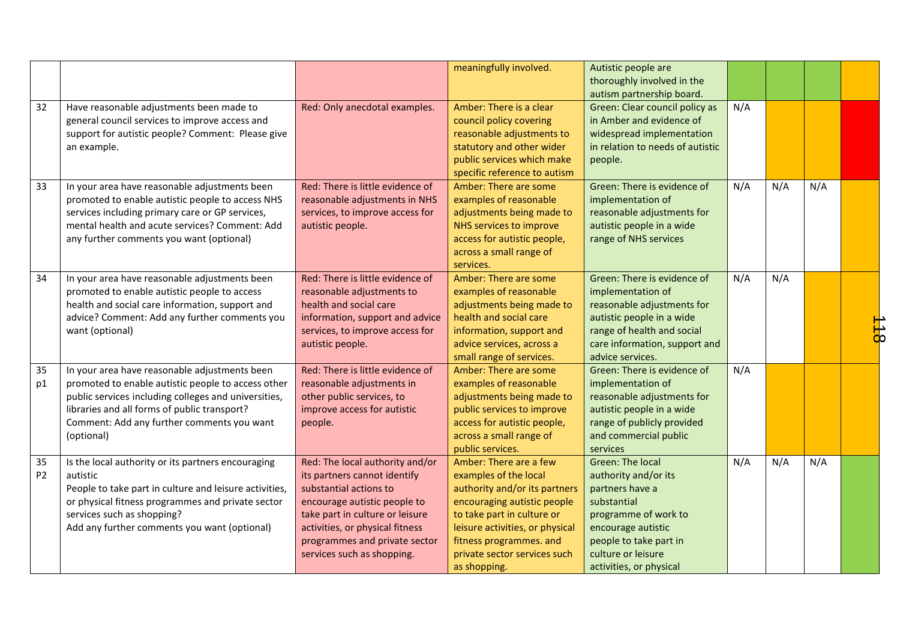|                      |                                                                                                                                                                                                                                                                         |                                                                                                                                                                                                                                                                | meaningfully involved.                                                                                                                                                                                                                                      | Autistic people are<br>thoroughly involved in the<br>autism partnership board.                                                                                                                             |     |     |     |                    |
|----------------------|-------------------------------------------------------------------------------------------------------------------------------------------------------------------------------------------------------------------------------------------------------------------------|----------------------------------------------------------------------------------------------------------------------------------------------------------------------------------------------------------------------------------------------------------------|-------------------------------------------------------------------------------------------------------------------------------------------------------------------------------------------------------------------------------------------------------------|------------------------------------------------------------------------------------------------------------------------------------------------------------------------------------------------------------|-----|-----|-----|--------------------|
| 32                   | Have reasonable adjustments been made to<br>general council services to improve access and<br>support for autistic people? Comment: Please give<br>an example.                                                                                                          | Red: Only anecdotal examples.                                                                                                                                                                                                                                  | Amber: There is a clear<br>council policy covering<br>reasonable adjustments to<br>statutory and other wider<br>public services which make<br>specific reference to autism                                                                                  | Green: Clear council policy as<br>in Amber and evidence of<br>widespread implementation<br>in relation to needs of autistic<br>people.                                                                     | N/A |     |     |                    |
| 33                   | In your area have reasonable adjustments been<br>promoted to enable autistic people to access NHS<br>services including primary care or GP services,<br>mental health and acute services? Comment: Add<br>any further comments you want (optional)                      | Red: There is little evidence of<br>reasonable adjustments in NHS<br>services, to improve access for<br>autistic people.                                                                                                                                       | Amber: There are some<br>examples of reasonable<br>adjustments being made to<br>NHS services to improve<br>access for autistic people,<br>across a small range of<br>services.                                                                              | Green: There is evidence of<br>implementation of<br>reasonable adjustments for<br>autistic people in a wide<br>range of NHS services                                                                       | N/A | N/A | N/A |                    |
| 34                   | In your area have reasonable adjustments been<br>promoted to enable autistic people to access<br>health and social care information, support and<br>advice? Comment: Add any further comments you<br>want (optional)                                                    | Red: There is little evidence of<br>reasonable adjustments to<br>health and social care<br>information, support and advice<br>services, to improve access for<br>autistic people.                                                                              | Amber: There are some<br>examples of reasonable<br>adjustments being made to<br>health and social care<br>information, support and<br>advice services, across a<br>small range of services.                                                                 | Green: There is evidence of<br>implementation of<br>reasonable adjustments for<br>autistic people in a wide<br>range of health and social<br>care information, support and<br>advice services.             | N/A | N/A |     | $\frac{1}{\alpha}$ |
| 35<br>p1             | In your area have reasonable adjustments been<br>promoted to enable autistic people to access other<br>public services including colleges and universities,<br>libraries and all forms of public transport?<br>Comment: Add any further comments you want<br>(optional) | Red: There is little evidence of<br>reasonable adjustments in<br>other public services, to<br>improve access for autistic<br>people.                                                                                                                           | Amber: There are some<br>examples of reasonable<br>adjustments being made to<br>public services to improve<br>access for autistic people,<br>across a small range of<br>public services.                                                                    | Green: There is evidence of<br>implementation of<br>reasonable adjustments for<br>autistic people in a wide<br>range of publicly provided<br>and commercial public<br>services                             | N/A |     |     |                    |
| 35<br>P <sub>2</sub> | Is the local authority or its partners encouraging<br>autistic<br>People to take part in culture and leisure activities,<br>or physical fitness programmes and private sector<br>services such as shopping?<br>Add any further comments you want (optional)             | Red: The local authority and/or<br>its partners cannot identify<br>substantial actions to<br>encourage autistic people to<br>take part in culture or leisure<br>activities, or physical fitness<br>programmes and private sector<br>services such as shopping. | Amber: There are a few<br>examples of the local<br>authority and/or its partners<br>encouraging autistic people<br>to take part in culture or<br>leisure activities, or physical<br>fitness programmes. and<br>private sector services such<br>as shopping. | <b>Green: The local</b><br>authority and/or its<br>partners have a<br>substantial<br>programme of work to<br>encourage autistic<br>people to take part in<br>culture or leisure<br>activities, or physical | N/A | N/A | N/A |                    |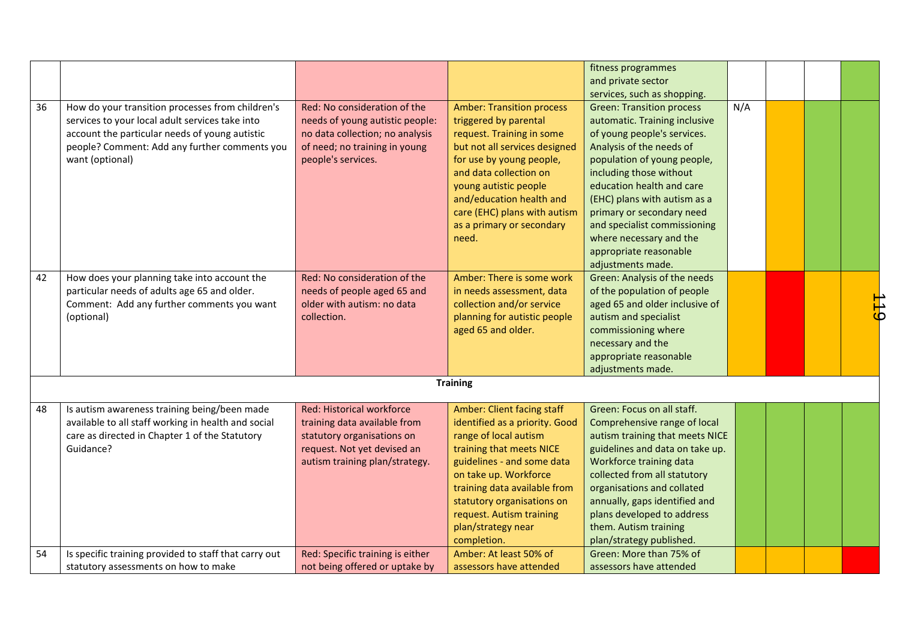|                                                                                                                                          | fitness programmes<br>and private sector            |
|------------------------------------------------------------------------------------------------------------------------------------------|-----------------------------------------------------|
|                                                                                                                                          | services, such as shopping.                         |
| 36<br>Red: No consideration of the<br><b>Amber: Transition process</b><br>How do your transition processes from children's               | N/A<br><b>Green: Transition process</b>             |
| services to your local adult services take into<br>needs of young autistic people:<br>triggered by parental                              | automatic. Training inclusive                       |
| account the particular needs of young autistic<br>no data collection; no analysis<br>request. Training in some                           | of young people's services.                         |
| of need; no training in young<br>but not all services designed<br>people? Comment: Add any further comments you                          | Analysis of the needs of                            |
| people's services.<br>want (optional)<br>for use by young people,                                                                        | population of young people,                         |
| and data collection on                                                                                                                   | including those without                             |
| young autistic people                                                                                                                    | education health and care                           |
| and/education health and                                                                                                                 | (EHC) plans with autism as a                        |
| care (EHC) plans with autism                                                                                                             | primary or secondary need                           |
| as a primary or secondary                                                                                                                | and specialist commissioning                        |
| need.                                                                                                                                    | where necessary and the                             |
|                                                                                                                                          | appropriate reasonable                              |
|                                                                                                                                          | adjustments made.                                   |
| 42<br>How does your planning take into account the<br>Red: No consideration of the<br>Amber: There is some work                          | Green: Analysis of the needs                        |
| particular needs of adults age 65 and older.<br>needs of people aged 65 and<br>in needs assessment, data                                 | of the population of people                         |
| collection and/or service<br>Comment: Add any further comments you want<br>older with autism: no data                                    | $\frac{1}{6}$<br>aged 65 and older inclusive of     |
| collection.<br>planning for autistic people<br>(optional)                                                                                | autism and specialist                               |
| aged 65 and older.                                                                                                                       | commissioning where<br>necessary and the            |
|                                                                                                                                          | appropriate reasonable                              |
|                                                                                                                                          | adjustments made.                                   |
| <b>Training</b>                                                                                                                          |                                                     |
|                                                                                                                                          |                                                     |
| Red: Historical workforce<br>Amber: Client facing staff<br>48<br>Is autism awareness training being/been made                            | Green: Focus on all staff.                          |
| available to all staff working in health and social<br>identified as a priority. Good<br>training data available from                    | Comprehensive range of local                        |
| care as directed in Chapter 1 of the Statutory<br>statutory organisations on<br>range of local autism                                    | autism training that meets NICE                     |
| Guidance?<br>request. Not yet devised an<br>training that meets NICE                                                                     | guidelines and data on take up.                     |
| autism training plan/strategy.<br>guidelines - and some data                                                                             | Workforce training data                             |
| on take up. Workforce                                                                                                                    | collected from all statutory                        |
| training data available from                                                                                                             | organisations and collated                          |
| statutory organisations on                                                                                                               |                                                     |
| request. Autism training<br>plan/strategy near                                                                                           | annually, gaps identified and                       |
|                                                                                                                                          | plans developed to address                          |
|                                                                                                                                          | them. Autism training                               |
| completion.<br>Is specific training provided to staff that carry out<br>Red: Specific training is either<br>Amber: At least 50% of<br>54 | plan/strategy published.<br>Green: More than 75% of |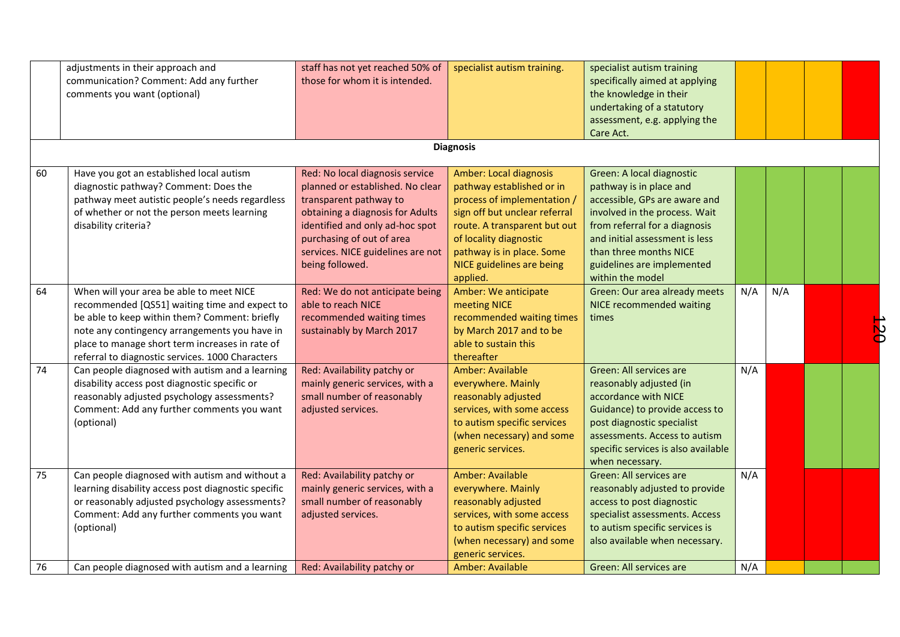|    | adjustments in their approach and<br>communication? Comment: Add any further<br>comments you want (optional)                                                                                                                                                                                       | staff has not yet reached 50% of<br>those for whom it is intended.                                                                                                                                                                                        | specialist autism training.                                                                                                                                                                                                                                | specialist autism training<br>specifically aimed at applying<br>the knowledge in their<br>undertaking of a statutory<br>assessment, e.g. applying the<br>Care Act.                                                                                                    |     |     |  |
|----|----------------------------------------------------------------------------------------------------------------------------------------------------------------------------------------------------------------------------------------------------------------------------------------------------|-----------------------------------------------------------------------------------------------------------------------------------------------------------------------------------------------------------------------------------------------------------|------------------------------------------------------------------------------------------------------------------------------------------------------------------------------------------------------------------------------------------------------------|-----------------------------------------------------------------------------------------------------------------------------------------------------------------------------------------------------------------------------------------------------------------------|-----|-----|--|
|    |                                                                                                                                                                                                                                                                                                    |                                                                                                                                                                                                                                                           | <b>Diagnosis</b>                                                                                                                                                                                                                                           |                                                                                                                                                                                                                                                                       |     |     |  |
| 60 | Have you got an established local autism<br>diagnostic pathway? Comment: Does the<br>pathway meet autistic people's needs regardless<br>of whether or not the person meets learning<br>disability criteria?                                                                                        | Red: No local diagnosis service<br>planned or established. No clear<br>transparent pathway to<br>obtaining a diagnosis for Adults<br>identified and only ad-hoc spot<br>purchasing of out of area<br>services. NICE guidelines are not<br>being followed. | <b>Amber: Local diagnosis</b><br>pathway established or in<br>process of implementation /<br>sign off but unclear referral<br>route. A transparent but out<br>of locality diagnostic<br>pathway is in place. Some<br>NICE guidelines are being<br>applied. | Green: A local diagnostic<br>pathway is in place and<br>accessible, GPs are aware and<br>involved in the process. Wait<br>from referral for a diagnosis<br>and initial assessment is less<br>than three months NICE<br>guidelines are implemented<br>within the model |     |     |  |
| 64 | When will your area be able to meet NICE<br>recommended [QS51] waiting time and expect to<br>be able to keep within them? Comment: briefly<br>note any contingency arrangements you have in<br>place to manage short term increases in rate of<br>referral to diagnostic services. 1000 Characters | Red: We do not anticipate being<br>able to reach NICE<br>recommended waiting times<br>sustainably by March 2017                                                                                                                                           | Amber: We anticipate<br>meeting NICE<br>recommended waiting times<br>by March 2017 and to be<br>able to sustain this<br>thereafter                                                                                                                         | Green: Our area already meets<br>NICE recommended waiting<br>times                                                                                                                                                                                                    | N/A | N/A |  |
| 74 | Can people diagnosed with autism and a learning<br>disability access post diagnostic specific or<br>reasonably adjusted psychology assessments?<br>Comment: Add any further comments you want<br>(optional)                                                                                        | Red: Availability patchy or<br>mainly generic services, with a<br>small number of reasonably<br>adjusted services.                                                                                                                                        | Amber: Available<br>everywhere. Mainly<br>reasonably adjusted<br>services, with some access<br>to autism specific services<br>(when necessary) and some<br>generic services.                                                                               | Green: All services are<br>reasonably adjusted (in<br>accordance with NICE<br>Guidance) to provide access to<br>post diagnostic specialist<br>assessments. Access to autism<br>specific services is also available<br>when necessary.                                 | N/A |     |  |
| 75 | Can people diagnosed with autism and without a<br>learning disability access post diagnostic specific<br>or reasonably adjusted psychology assessments?<br>Comment: Add any further comments you want<br>(optional)                                                                                | Red: Availability patchy or<br>mainly generic services, with a<br>small number of reasonably<br>adjusted services.                                                                                                                                        | Amber: Available<br>everywhere. Mainly<br>reasonably adjusted<br>services, with some access<br>to autism specific services<br>(when necessary) and some<br>generic services.                                                                               | Green: All services are<br>reasonably adjusted to provide<br>access to post diagnostic<br>specialist assessments. Access<br>to autism specific services is<br>also available when necessary.                                                                          | N/A |     |  |
| 76 | Can people diagnosed with autism and a learning                                                                                                                                                                                                                                                    | Red: Availability patchy or                                                                                                                                                                                                                               | Amber: Available                                                                                                                                                                                                                                           | Green: All services are                                                                                                                                                                                                                                               | N/A |     |  |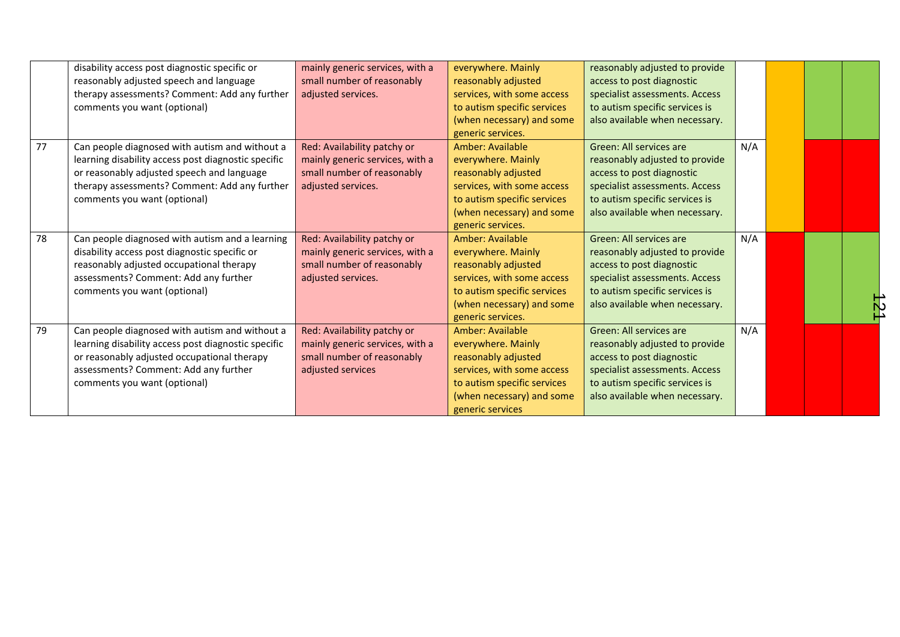|    | disability access post diagnostic specific or       | mainly generic services, with a | everywhere. Mainly          | reasonably adjusted to provide |     |  |  |
|----|-----------------------------------------------------|---------------------------------|-----------------------------|--------------------------------|-----|--|--|
|    | reasonably adjusted speech and language             | small number of reasonably      | reasonably adjusted         | access to post diagnostic      |     |  |  |
|    | therapy assessments? Comment: Add any further       | adjusted services.              | services, with some access  | specialist assessments. Access |     |  |  |
|    | comments you want (optional)                        |                                 | to autism specific services | to autism specific services is |     |  |  |
|    |                                                     |                                 | (when necessary) and some   | also available when necessary. |     |  |  |
|    |                                                     |                                 | generic services.           |                                |     |  |  |
| 77 | Can people diagnosed with autism and without a      | Red: Availability patchy or     | Amber: Available            | Green: All services are        | N/A |  |  |
|    | learning disability access post diagnostic specific | mainly generic services, with a | everywhere. Mainly          | reasonably adjusted to provide |     |  |  |
|    | or reasonably adjusted speech and language          | small number of reasonably      | reasonably adjusted         | access to post diagnostic      |     |  |  |
|    | therapy assessments? Comment: Add any further       | adjusted services.              | services, with some access  | specialist assessments. Access |     |  |  |
|    | comments you want (optional)                        |                                 | to autism specific services | to autism specific services is |     |  |  |
|    |                                                     |                                 | (when necessary) and some   | also available when necessary. |     |  |  |
|    |                                                     |                                 | generic services.           |                                |     |  |  |
| 78 | Can people diagnosed with autism and a learning     | Red: Availability patchy or     | Amber: Available            | Green: All services are        | N/A |  |  |
|    | disability access post diagnostic specific or       | mainly generic services, with a | everywhere. Mainly          | reasonably adjusted to provide |     |  |  |
|    | reasonably adjusted occupational therapy            | small number of reasonably      | reasonably adjusted         | access to post diagnostic      |     |  |  |
|    | assessments? Comment: Add any further               | adjusted services.              | services, with some access  | specialist assessments. Access |     |  |  |
|    | comments you want (optional)                        |                                 | to autism specific services | to autism specific services is |     |  |  |
|    |                                                     |                                 | (when necessary) and some   | also available when necessary. |     |  |  |
|    |                                                     |                                 | generic services.           |                                |     |  |  |
| 79 | Can people diagnosed with autism and without a      | Red: Availability patchy or     | Amber: Available            | Green: All services are        | N/A |  |  |
|    | learning disability access post diagnostic specific | mainly generic services, with a | everywhere. Mainly          | reasonably adjusted to provide |     |  |  |
|    | or reasonably adjusted occupational therapy         | small number of reasonably      | reasonably adjusted         | access to post diagnostic      |     |  |  |
|    | assessments? Comment: Add any further               | adjusted services               | services, with some access  | specialist assessments. Access |     |  |  |
|    | comments you want (optional)                        |                                 | to autism specific services | to autism specific services is |     |  |  |
|    |                                                     |                                 | (when necessary) and some   | also available when necessary. |     |  |  |
|    |                                                     |                                 | generic services            |                                |     |  |  |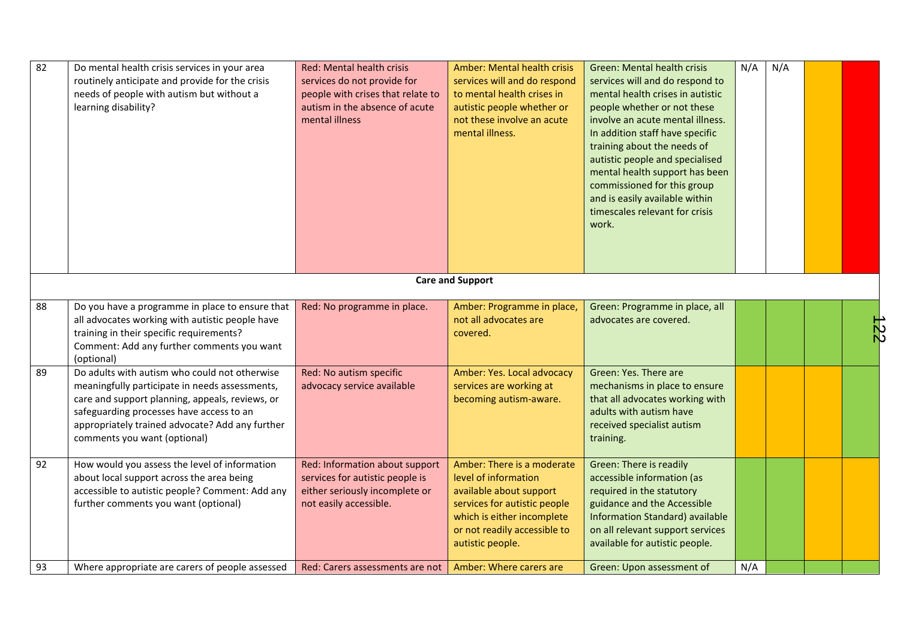| 82 | Do mental health crisis services in your area<br>routinely anticipate and provide for the crisis<br>needs of people with autism but without a<br>learning disability?                                                                                                             | Red: Mental health crisis<br>services do not provide for<br>people with crises that relate to<br>autism in the absence of acute<br>mental illness | Amber: Mental health crisis<br>services will and do respond<br>to mental health crises in<br>autistic people whether or<br>not these involve an acute<br>mental illness.                        | <b>Green: Mental health crisis</b><br>services will and do respond to<br>mental health crises in autistic<br>people whether or not these<br>involve an acute mental illness.<br>In addition staff have specific<br>training about the needs of<br>autistic people and specialised<br>mental health support has been<br>commissioned for this group<br>and is easily available within<br>timescales relevant for crisis<br>work. | N/A | N/A |                          |
|----|-----------------------------------------------------------------------------------------------------------------------------------------------------------------------------------------------------------------------------------------------------------------------------------|---------------------------------------------------------------------------------------------------------------------------------------------------|-------------------------------------------------------------------------------------------------------------------------------------------------------------------------------------------------|---------------------------------------------------------------------------------------------------------------------------------------------------------------------------------------------------------------------------------------------------------------------------------------------------------------------------------------------------------------------------------------------------------------------------------|-----|-----|--------------------------|
|    |                                                                                                                                                                                                                                                                                   |                                                                                                                                                   | <b>Care and Support</b>                                                                                                                                                                         |                                                                                                                                                                                                                                                                                                                                                                                                                                 |     |     |                          |
| 88 | Do you have a programme in place to ensure that<br>all advocates working with autistic people have<br>training in their specific requirements?<br>Comment: Add any further comments you want<br>(optional)                                                                        | Red: No programme in place.                                                                                                                       | Amber: Programme in place,<br>not all advocates are<br>covered.                                                                                                                                 | Green: Programme in place, all<br>advocates are covered.                                                                                                                                                                                                                                                                                                                                                                        |     |     | $\overline{\mathcal{R}}$ |
| 89 | Do adults with autism who could not otherwise<br>meaningfully participate in needs assessments,<br>care and support planning, appeals, reviews, or<br>safeguarding processes have access to an<br>appropriately trained advocate? Add any further<br>comments you want (optional) | Red: No autism specific<br>advocacy service available                                                                                             | Amber: Yes. Local advocacy<br>services are working at<br>becoming autism-aware.                                                                                                                 | Green: Yes. There are<br>mechanisms in place to ensure<br>that all advocates working with<br>adults with autism have<br>received specialist autism<br>training.                                                                                                                                                                                                                                                                 |     |     |                          |
| 92 | How would you assess the level of information<br>about local support across the area being<br>accessible to autistic people? Comment: Add any<br>further comments you want (optional)                                                                                             | Red: Information about support<br>services for autistic people is<br>either seriously incomplete or<br>not easily accessible.                     | Amber: There is a moderate<br>level of information<br>available about support<br>services for autistic people<br>which is either incomplete<br>or not readily accessible to<br>autistic people. | Green: There is readily<br>accessible information (as<br>required in the statutory<br>guidance and the Accessible<br><b>Information Standard) available</b><br>on all relevant support services<br>available for autistic people.                                                                                                                                                                                               |     |     |                          |
| 93 | Where appropriate are carers of people assessed                                                                                                                                                                                                                                   | Red: Carers assessments are not                                                                                                                   | Amber: Where carers are                                                                                                                                                                         | Green: Upon assessment of                                                                                                                                                                                                                                                                                                                                                                                                       | N/A |     |                          |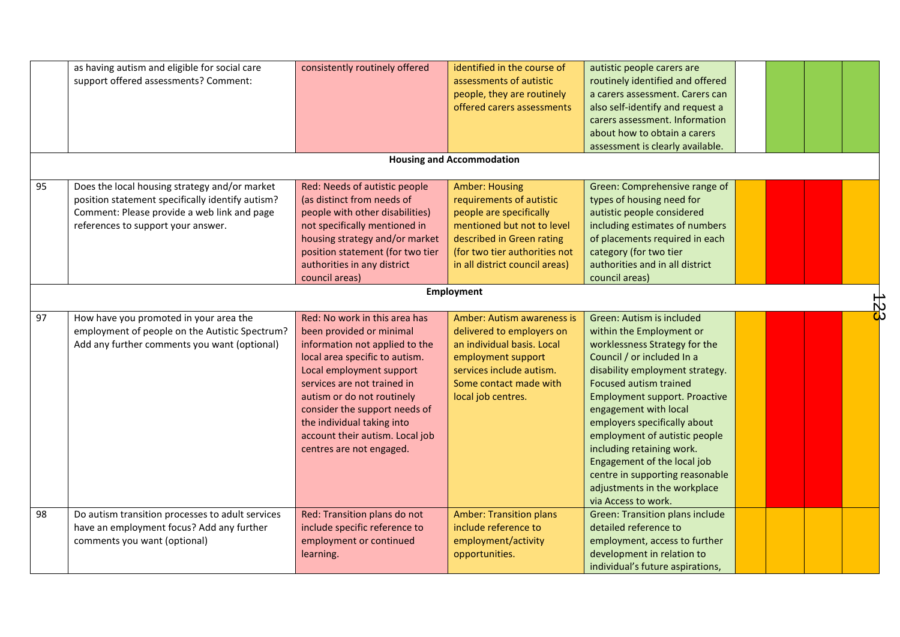|    | as having autism and eligible for social care<br>support offered assessments? Comment:                                                                                                 | consistently routinely offered                                                                                                                                                                                                                                                                                                                       | identified in the course of<br>assessments of autistic<br>people, they are routinely<br>offered carers assessments                                                                                         | autistic people carers are<br>routinely identified and offered<br>a carers assessment. Carers can<br>also self-identify and request a<br>carers assessment. Information<br>about how to obtain a carers<br>assessment is clearly available.                                                                                                                                                                                                                                      |  |  |  |  |  |  |  |
|----|----------------------------------------------------------------------------------------------------------------------------------------------------------------------------------------|------------------------------------------------------------------------------------------------------------------------------------------------------------------------------------------------------------------------------------------------------------------------------------------------------------------------------------------------------|------------------------------------------------------------------------------------------------------------------------------------------------------------------------------------------------------------|----------------------------------------------------------------------------------------------------------------------------------------------------------------------------------------------------------------------------------------------------------------------------------------------------------------------------------------------------------------------------------------------------------------------------------------------------------------------------------|--|--|--|--|--|--|--|
|    | <b>Housing and Accommodation</b>                                                                                                                                                       |                                                                                                                                                                                                                                                                                                                                                      |                                                                                                                                                                                                            |                                                                                                                                                                                                                                                                                                                                                                                                                                                                                  |  |  |  |  |  |  |  |
| 95 | Does the local housing strategy and/or market<br>position statement specifically identify autism?<br>Comment: Please provide a web link and page<br>references to support your answer. | Red: Needs of autistic people<br>(as distinct from needs of<br>people with other disabilities)<br>not specifically mentioned in<br>housing strategy and/or market<br>position statement (for two tier<br>authorities in any district<br>council areas)                                                                                               | <b>Amber: Housing</b><br>requirements of autistic<br>people are specifically<br>mentioned but not to level<br>described in Green rating<br>(for two tier authorities not<br>in all district council areas) | Green: Comprehensive range of<br>types of housing need for<br>autistic people considered<br>including estimates of numbers<br>of placements required in each<br>category (for two tier<br>authorities and in all district<br>council areas)                                                                                                                                                                                                                                      |  |  |  |  |  |  |  |
|    |                                                                                                                                                                                        |                                                                                                                                                                                                                                                                                                                                                      | Employment                                                                                                                                                                                                 |                                                                                                                                                                                                                                                                                                                                                                                                                                                                                  |  |  |  |  |  |  |  |
| 97 | How have you promoted in your area the<br>employment of people on the Autistic Spectrum?<br>Add any further comments you want (optional)                                               | Red: No work in this area has<br>been provided or minimal<br>information not applied to the<br>local area specific to autism.<br>Local employment support<br>services are not trained in<br>autism or do not routinely<br>consider the support needs of<br>the individual taking into<br>account their autism. Local job<br>centres are not engaged. | <b>Amber: Autism awareness is</b><br>delivered to employers on<br>an individual basis. Local<br>employment support<br>services include autism.<br>Some contact made with<br>local job centres.             | Green: Autism is included<br>within the Employment or<br>worklessness Strategy for the<br>Council / or included In a<br>disability employment strategy.<br><b>Focused autism trained</b><br><b>Employment support. Proactive</b><br>engagement with local<br>employers specifically about<br>employment of autistic people<br>including retaining work.<br>Engagement of the local job<br>centre in supporting reasonable<br>adjustments in the workplace<br>via Access to work. |  |  |  |  |  |  |  |
| 98 | Do autism transition processes to adult services<br>have an employment focus? Add any further<br>comments you want (optional)                                                          | Red: Transition plans do not<br>include specific reference to<br>employment or continued<br>learning.                                                                                                                                                                                                                                                | <b>Amber: Transition plans</b><br>include reference to<br>employment/activity<br>opportunities.                                                                                                            | <b>Green: Transition plans include</b><br>detailed reference to<br>employment, access to further<br>development in relation to<br>individual's future aspirations,                                                                                                                                                                                                                                                                                                               |  |  |  |  |  |  |  |